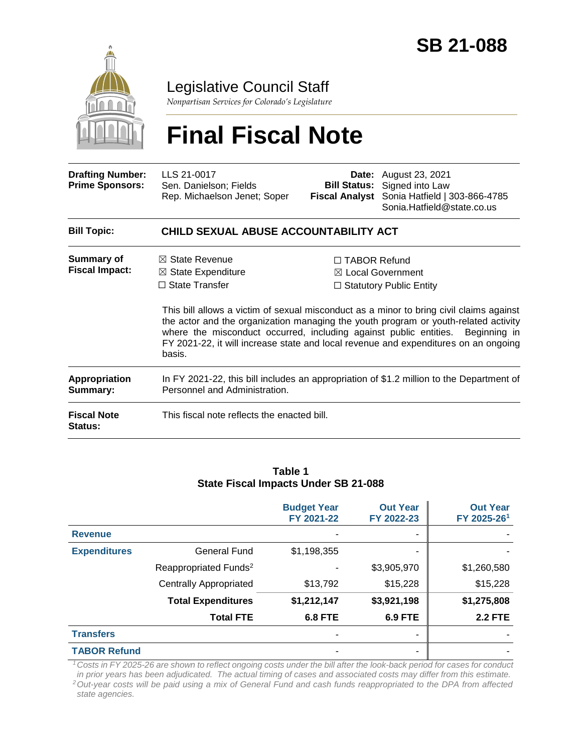

## Legislative Council Staff

*Nonpartisan Services for Colorado's Legislature*

# **Final Fiscal Note**

| <b>Drafting Number:</b><br><b>Prime Sponsors:</b> | LLS 21-0017<br>Sen. Danielson; Fields<br>Rep. Michaelson Jenet; Soper               |                                                                                                                                                                                                                                                                                                                                                                                                                                        | <b>Date:</b> August 23, 2021<br><b>Bill Status:</b> Signed into Law<br>Fiscal Analyst Sonia Hatfield   303-866-4785<br>Sonia.Hatfield@state.co.us |  |  |  |
|---------------------------------------------------|-------------------------------------------------------------------------------------|----------------------------------------------------------------------------------------------------------------------------------------------------------------------------------------------------------------------------------------------------------------------------------------------------------------------------------------------------------------------------------------------------------------------------------------|---------------------------------------------------------------------------------------------------------------------------------------------------|--|--|--|
| <b>Bill Topic:</b>                                | CHILD SEXUAL ABUSE ACCOUNTABILITY ACT                                               |                                                                                                                                                                                                                                                                                                                                                                                                                                        |                                                                                                                                                   |  |  |  |
| Summary of<br><b>Fiscal Impact:</b>               | $\boxtimes$ State Revenue<br>$\boxtimes$ State Expenditure<br>$\Box$ State Transfer | $\Box$ TABOR Refund<br>⊠ Local Government<br>$\Box$ Statutory Public Entity<br>This bill allows a victim of sexual misconduct as a minor to bring civil claims against<br>the actor and the organization managing the youth program or youth-related activity<br>where the misconduct occurred, including against public entities. Beginning in<br>FY 2021-22, it will increase state and local revenue and expenditures on an ongoing |                                                                                                                                                   |  |  |  |
| Appropriation                                     | basis.                                                                              |                                                                                                                                                                                                                                                                                                                                                                                                                                        | In FY 2021-22, this bill includes an appropriation of \$1.2 million to the Department of                                                          |  |  |  |
| Summary:<br><b>Fiscal Note</b>                    | Personnel and Administration.<br>This fiscal note reflects the enacted bill.        |                                                                                                                                                                                                                                                                                                                                                                                                                                        |                                                                                                                                                   |  |  |  |
| Status:                                           |                                                                                     |                                                                                                                                                                                                                                                                                                                                                                                                                                        |                                                                                                                                                   |  |  |  |

#### **Table 1 State Fiscal Impacts Under SB 21-088**

|                     |                                   | <b>Budget Year</b><br>FY 2021-22 | <b>Out Year</b><br>FY 2022-23 | <b>Out Year</b><br>FY 2025-261 |
|---------------------|-----------------------------------|----------------------------------|-------------------------------|--------------------------------|
| <b>Revenue</b>      |                                   |                                  | ۰                             |                                |
| <b>Expenditures</b> | General Fund                      | \$1,198,355                      | ۰                             |                                |
|                     | Reappropriated Funds <sup>2</sup> |                                  | \$3,905,970                   | \$1,260,580                    |
|                     | <b>Centrally Appropriated</b>     | \$13,792                         | \$15,228                      | \$15,228                       |
|                     | <b>Total Expenditures</b>         | \$1,212,147                      | \$3,921,198                   | \$1,275,808                    |
|                     | <b>Total FTE</b>                  | <b>6.8 FTE</b>                   | <b>6.9 FTE</b>                | <b>2.2 FTE</b>                 |
| <b>Transfers</b>    |                                   |                                  | ۰                             |                                |
| <b>TABOR Refund</b> |                                   |                                  | ۰                             |                                |

*<sup>1</sup>Costs in FY 2025-26 are shown to reflect ongoing costs under the bill after the look-back period for cases for conduct in prior years has been adjudicated. The actual timing of cases and associated costs may differ from this estimate.*

*<sup>2</sup>Out-year costs will be paid using a mix of General Fund and cash funds reappropriated to the DPA from affected state agencies.*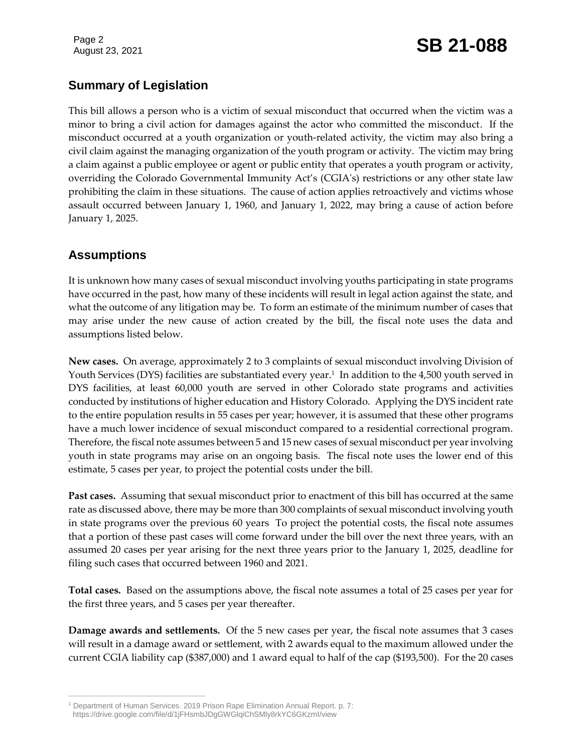## August 23, 2021 **SB 21-088**

## **Summary of Legislation**

This bill allows a person who is a victim of sexual misconduct that occurred when the victim was a minor to bring a civil action for damages against the actor who committed the misconduct. If the misconduct occurred at a youth organization or youth-related activity, the victim may also bring a civil claim against the managing organization of the youth program or activity. The victim may bring a claim against a public employee or agent or public entity that operates a youth program or activity, overriding the Colorado Governmental Immunity Act's (CGIA's) restrictions or any other state law prohibiting the claim in these situations. The cause of action applies retroactively and victims whose assault occurred between January 1, 1960, and January 1, 2022, may bring a cause of action before January 1, 2025.

### **Assumptions**

It is unknown how many cases of sexual misconduct involving youths participating in state programs have occurred in the past, how many of these incidents will result in legal action against the state, and what the outcome of any litigation may be. To form an estimate of the minimum number of cases that may arise under the new cause of action created by the bill, the fiscal note uses the data and assumptions listed below.

**New cases.** On average, approximately 2 to 3 complaints of sexual misconduct involving Division of Youth Services (DYS) facilities are substantiated every year.<sup>1</sup> In addition to the 4,500 youth served in DYS facilities, at least 60,000 youth are served in other Colorado state programs and activities conducted by institutions of higher education and History Colorado. Applying the DYS incident rate to the entire population results in 55 cases per year; however, it is assumed that these other programs have a much lower incidence of sexual misconduct compared to a residential correctional program. Therefore, the fiscal note assumes between 5 and 15 new cases of sexual misconduct per year involving youth in state programs may arise on an ongoing basis. The fiscal note uses the lower end of this estimate, 5 cases per year, to project the potential costs under the bill.

**Past cases.** Assuming that sexual misconduct prior to enactment of this bill has occurred at the same rate as discussed above, there may be more than 300 complaints of sexual misconduct involving youth in state programs over the previous 60 years To project the potential costs, the fiscal note assumes that a portion of these past cases will come forward under the bill over the next three years, with an assumed 20 cases per year arising for the next three years prior to the January 1, 2025, deadline for filing such cases that occurred between 1960 and 2021.

**Total cases.** Based on the assumptions above, the fiscal note assumes a total of 25 cases per year for the first three years, and 5 cases per year thereafter.

**Damage awards and settlements.** Of the 5 new cases per year, the fiscal note assumes that 3 cases will result in a damage award or settlement, with 2 awards equal to the maximum allowed under the current CGIA liability cap (\$387,000) and 1 award equal to half of the cap (\$193,500). For the 20 cases

 $\overline{a}$ <sup>1</sup> Department of Human Services. 2019 Prison Rape Elimination Annual Report. p. 7: https://drive.google.com/file/d/1jFHsmbJDgGWGlqiChSMly8rkYC6GKzmI/view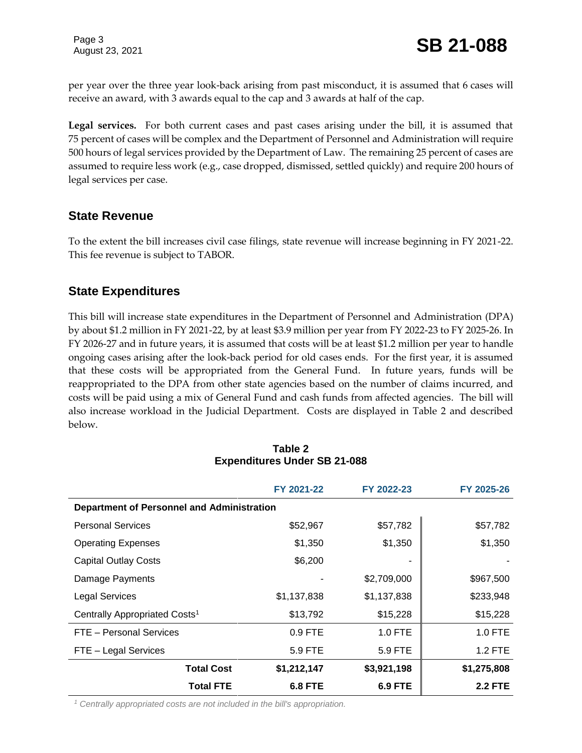Page 3

per year over the three year look-back arising from past misconduct, it is assumed that 6 cases will receive an award, with 3 awards equal to the cap and 3 awards at half of the cap.

**Legal services.** For both current cases and past cases arising under the bill, it is assumed that 75 percent of cases will be complex and the Department of Personnel and Administration will require 500 hours of legal services provided by the Department of Law. The remaining 25 percent of cases are assumed to require less work (e.g., case dropped, dismissed, settled quickly) and require 200 hours of legal services per case.

#### **State Revenue**

To the extent the bill increases civil case filings, state revenue will increase beginning in FY 2021-22. This fee revenue is subject to TABOR.

#### **State Expenditures**

This bill will increase state expenditures in the Department of Personnel and Administration (DPA) by about \$1.2 million in FY 2021-22, by at least \$3.9 million per year from FY 2022-23 to FY 2025-26. In FY 2026-27 and in future years, it is assumed that costs will be at least \$1.2 million per year to handle ongoing cases arising after the look-back period for old cases ends. For the first year, it is assumed that these costs will be appropriated from the General Fund. In future years, funds will be reappropriated to the DPA from other state agencies based on the number of claims incurred, and costs will be paid using a mix of General Fund and cash funds from affected agencies. The bill will also increase workload in the Judicial Department. Costs are displayed in Table 2 and described below.

|                                                   | FY 2021-22     | FY 2022-23     | FY 2025-26     |  |  |
|---------------------------------------------------|----------------|----------------|----------------|--|--|
| <b>Department of Personnel and Administration</b> |                |                |                |  |  |
| <b>Personal Services</b>                          | \$52,967       | \$57,782       | \$57,782       |  |  |
| <b>Operating Expenses</b>                         | \$1,350        | \$1,350        | \$1,350        |  |  |
| <b>Capital Outlay Costs</b>                       | \$6,200        |                |                |  |  |
| Damage Payments                                   |                | \$2,709,000    | \$967,500      |  |  |
| <b>Legal Services</b>                             | \$1,137,838    | \$1,137,838    | \$233,948      |  |  |
| Centrally Appropriated Costs <sup>1</sup>         | \$13,792       | \$15,228       | \$15,228       |  |  |
| FTE - Personal Services                           | 0.9 FTE        | $1.0$ FTE      | 1.0 FTE        |  |  |
| FTE - Legal Services                              | 5.9 FTE        | 5.9 FTE        | 1.2 FTE        |  |  |
| <b>Total Cost</b>                                 | \$1,212,147    | \$3,921,198    | \$1,275,808    |  |  |
| <b>Total FTE</b>                                  | <b>6.8 FTE</b> | <b>6.9 FTE</b> | <b>2.2 FTE</b> |  |  |

#### **Table 2 Expenditures Under SB 21-088**

*<sup>1</sup> Centrally appropriated costs are not included in the bill's appropriation.*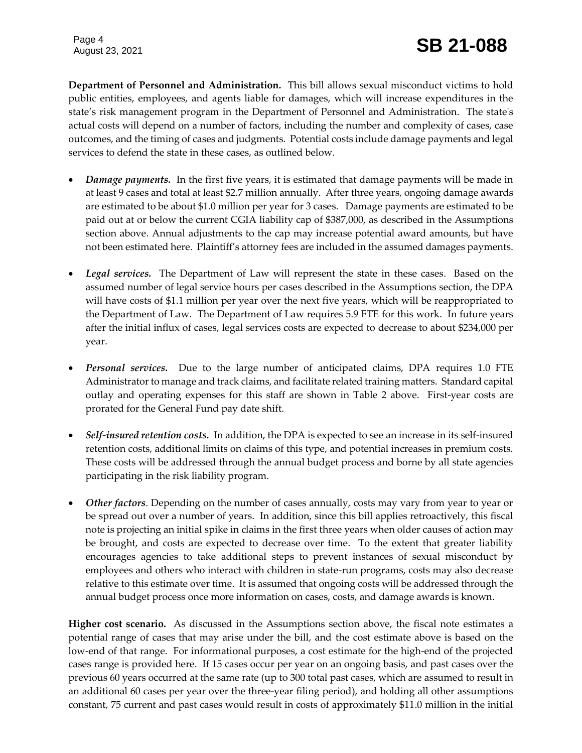Page 4

**Department of Personnel and Administration.** This bill allows sexual misconduct victims to hold public entities, employees, and agents liable for damages, which will increase expenditures in the state's risk management program in the Department of Personnel and Administration. The state's actual costs will depend on a number of factors, including the number and complexity of cases, case outcomes, and the timing of cases and judgments. Potential costs include damage payments and legal services to defend the state in these cases, as outlined below.

- *Damage payments.* In the first five years, it is estimated that damage payments will be made in at least 9 cases and total at least \$2.7 million annually. After three years, ongoing damage awards are estimated to be about \$1.0 million per year for 3 cases. Damage payments are estimated to be paid out at or below the current CGIA liability cap of \$387,000, as described in the Assumptions section above. Annual adjustments to the cap may increase potential award amounts, but have not been estimated here. Plaintiff's attorney fees are included in the assumed damages payments.
- *Legal services.* The Department of Law will represent the state in these cases. Based on the assumed number of legal service hours per cases described in the Assumptions section, the DPA will have costs of \$1.1 million per year over the next five years, which will be reappropriated to the Department of Law. The Department of Law requires 5.9 FTE for this work. In future years after the initial influx of cases, legal services costs are expected to decrease to about \$234,000 per year.
- *Personal services.* Due to the large number of anticipated claims, DPA requires 1.0 FTE Administrator to manage and track claims, and facilitate related training matters. Standard capital outlay and operating expenses for this staff are shown in Table 2 above. First-year costs are prorated for the General Fund pay date shift.
- *Self-insured retention costs.* In addition, the DPA is expected to see an increase in its self-insured retention costs, additional limits on claims of this type, and potential increases in premium costs. These costs will be addressed through the annual budget process and borne by all state agencies participating in the risk liability program.
- *Other factors*. Depending on the number of cases annually, costs may vary from year to year or be spread out over a number of years. In addition, since this bill applies retroactively, this fiscal note is projecting an initial spike in claims in the first three years when older causes of action may be brought, and costs are expected to decrease over time. To the extent that greater liability encourages agencies to take additional steps to prevent instances of sexual misconduct by employees and others who interact with children in state-run programs, costs may also decrease relative to this estimate over time. It is assumed that ongoing costs will be addressed through the annual budget process once more information on cases, costs, and damage awards is known.

**Higher cost scenario.** As discussed in the Assumptions section above, the fiscal note estimates a potential range of cases that may arise under the bill, and the cost estimate above is based on the low-end of that range. For informational purposes, a cost estimate for the high-end of the projected cases range is provided here. If 15 cases occur per year on an ongoing basis, and past cases over the previous 60 years occurred at the same rate (up to 300 total past cases, which are assumed to result in an additional 60 cases per year over the three-year filing period), and holding all other assumptions constant, 75 current and past cases would result in costs of approximately \$11.0 million in the initial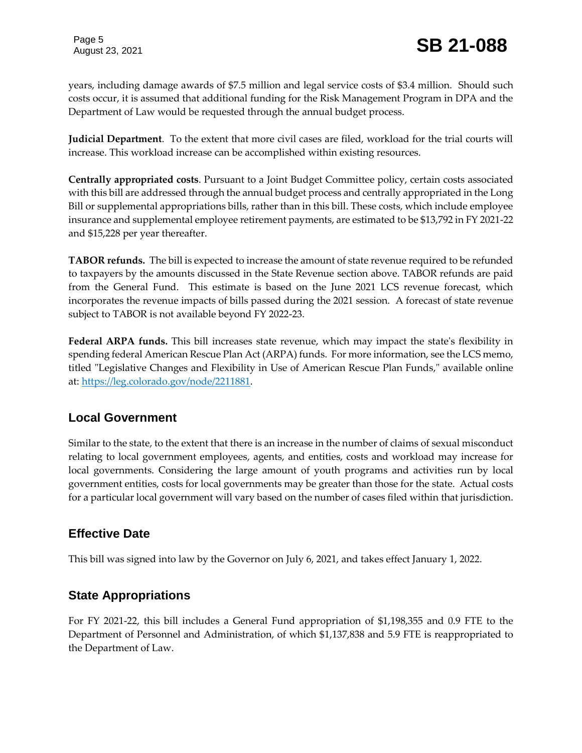years, including damage awards of \$7.5 million and legal service costs of \$3.4 million. Should such costs occur, it is assumed that additional funding for the Risk Management Program in DPA and the Department of Law would be requested through the annual budget process.

**Judicial Department**. To the extent that more civil cases are filed, workload for the trial courts will increase. This workload increase can be accomplished within existing resources.

**Centrally appropriated costs**. Pursuant to a Joint Budget Committee policy, certain costs associated with this bill are addressed through the annual budget process and centrally appropriated in the Long Bill or supplemental appropriations bills, rather than in this bill. These costs, which include employee insurance and supplemental employee retirement payments, are estimated to be \$13,792 in FY 2021-22 and \$15,228 per year thereafter.

**TABOR refunds.** The bill is expected to increase the amount of state revenue required to be refunded to taxpayers by the amounts discussed in the State Revenue section above. TABOR refunds are paid from the General Fund. This estimate is based on the June 2021 LCS revenue forecast, which incorporates the revenue impacts of bills passed during the 2021 session. A forecast of state revenue subject to TABOR is not available beyond FY 2022-23.

**Federal ARPA funds.** This bill increases state revenue, which may impact the state's flexibility in spending federal American Rescue Plan Act (ARPA) funds. For more information, see the LCS memo, titled "Legislative Changes and Flexibility in Use of American Rescue Plan Funds," available online at: [https://leg.colorado.gov/node/2211881.](https://leg.colorado.gov/node/2211881)

#### **Local Government**

Similar to the state, to the extent that there is an increase in the number of claims of sexual misconduct relating to local government employees, agents, and entities, costs and workload may increase for local governments. Considering the large amount of youth programs and activities run by local government entities, costs for local governments may be greater than those for the state. Actual costs for a particular local government will vary based on the number of cases filed within that jurisdiction.

## **Effective Date**

This bill was signed into law by the Governor on July 6, 2021, and takes effect January 1, 2022.

## **State Appropriations**

For FY 2021-22, this bill includes a General Fund appropriation of \$1,198,355 and 0.9 FTE to the Department of Personnel and Administration, of which \$1,137,838 and 5.9 FTE is reappropriated to the Department of Law.